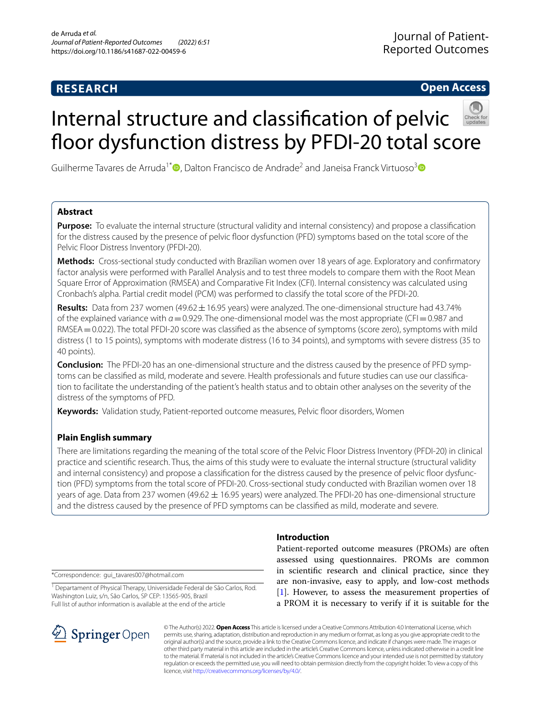# **RESEARCH**

# **Open Access**

# Internal structure and classifcation of pelvic floor dysfunction distress by PFDI-20 total score

Guilherme Tavares de Arruda<sup>1[\\*](http://orcid.org/0000-0001-5994-3247)</sup> D. Dalton Francisco de Andrade<sup>2</sup> and Janeisa Franck Virtuoso<sup>3</sup> D

# **Abstract**

**Purpose:** To evaluate the internal structure (structural validity and internal consistency) and propose a classifcation for the distress caused by the presence of pelvic foor dysfunction (PFD) symptoms based on the total score of the Pelvic Floor Distress Inventory (PFDI-20).

**Methods:** Cross-sectional study conducted with Brazilian women over 18 years of age. Exploratory and confrmatory factor analysis were performed with Parallel Analysis and to test three models to compare them with the Root Mean Square Error of Approximation (RMSEA) and Comparative Fit Index (CFI). Internal consistency was calculated using Cronbach's alpha. Partial credit model (PCM) was performed to classify the total score of the PFDI-20.

**Results:** Data from 237 women (49.62±16.95 years) were analyzed. The one-dimensional structure had 43.74% of the explained variance with *α*=0.929. The one-dimensional model was the most appropriate (CFI=0.987 and RMSEA = 0.022). The total PFDI-20 score was classified as the absence of symptoms (score zero), symptoms with mild distress (1 to 15 points), symptoms with moderate distress (16 to 34 points), and symptoms with severe distress (35 to 40 points).

**Conclusion:** The PFDI-20 has an one-dimensional structure and the distress caused by the presence of PFD symptoms can be classifed as mild, moderate and severe. Health professionals and future studies can use our classifcation to facilitate the understanding of the patient's health status and to obtain other analyses on the severity of the distress of the symptoms of PFD.

**Keywords:** Validation study, Patient-reported outcome measures, Pelvic foor disorders, Women

# **Plain English summary**

There are limitations regarding the meaning of the total score of the Pelvic Floor Distress Inventory (PFDI-20) in clinical practice and scientifc research. Thus, the aims of this study were to evaluate the internal structure (structural validity and internal consistency) and propose a classifcation for the distress caused by the presence of pelvic foor dysfunction (PFD) symptoms from the total score of PFDI-20. Cross-sectional study conducted with Brazilian women over 18 years of age. Data from 237 women (49.62 ± 16.95 years) were analyzed. The PFDI-20 has one-dimensional structure and the distress caused by the presence of PFD symptoms can be classifed as mild, moderate and severe.

\*Correspondence: gui\_tavares007@hotmail.com

<sup>1</sup> Departament of Physical Therapy, Universidade Federal de São Carlos, Rod. Washington Luiz, s/n, São Carlos, SP CEP: 13565-905, Brazil Full list of author information is available at the end of the article



# **Introduction**

Patient-reported outcome measures (PROMs) are often assessed using questionnaires. PROMs are common in scientifc research and clinical practice, since they are non-invasive, easy to apply, and low-cost methods [[1\]](#page-8-0). However, to assess the measurement properties of a PROM it is necessary to verify if it is suitable for the

© The Author(s) 2022. **Open Access** This article is licensed under a Creative Commons Attribution 4.0 International License, which permits use, sharing, adaptation, distribution and reproduction in any medium or format, as long as you give appropriate credit to the original author(s) and the source, provide a link to the Creative Commons licence, and indicate if changes were made. The images or other third party material in this article are included in the article's Creative Commons licence, unless indicated otherwise in a credit line to the material. If material is not included in the article's Creative Commons licence and your intended use is not permitted by statutory regulation or exceeds the permitted use, you will need to obtain permission directly from the copyright holder. To view a copy of this licence, visit [http://creativecommons.org/licenses/by/4.0/.](http://creativecommons.org/licenses/by/4.0/)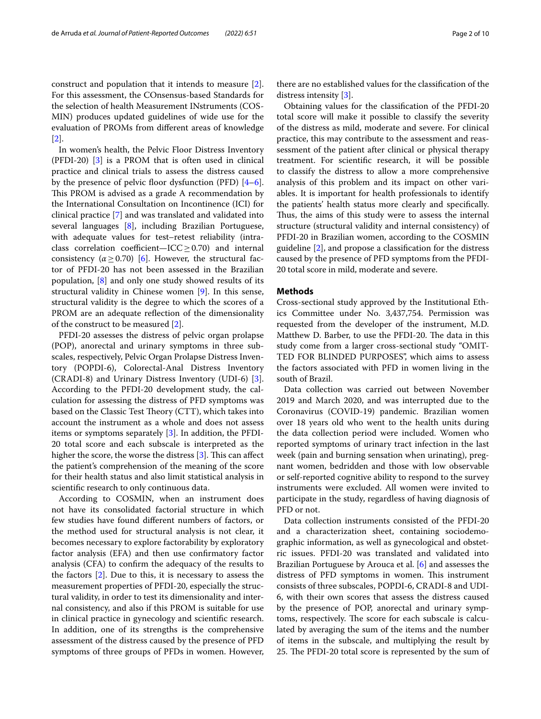construct and population that it intends to measure [\[2](#page-8-1)]. For this assessment, the COnsensus-based Standards for the selection of health Measurement INstruments (COS-MIN) produces updated guidelines of wide use for the evaluation of PROMs from diferent areas of knowledge [[2\]](#page-8-1).

In women's health, the Pelvic Floor Distress Inventory (PFDI-20) [\[3](#page-8-2)] is a PROM that is often used in clinical practice and clinical trials to assess the distress caused by the presence of pelvic floor dysfunction (PFD)  $[4-6]$  $[4-6]$ . This PROM is advised as a grade A recommendation by the International Consultation on Incontinence (ICI) for clinical practice [[7\]](#page-8-5) and was translated and validated into several languages [[8\]](#page-8-6), including Brazilian Portuguese, with adequate values for test–retest reliability (intraclass correlation coefficient—ICC  $\geq$  0.70) and internal consistency  $(\alpha > 0.70)$  [\[6](#page-8-4)]. However, the structural factor of PFDI-20 has not been assessed in the Brazilian population, [\[8\]](#page-8-6) and only one study showed results of its structural validity in Chinese women [[9](#page-8-7)]. In this sense, structural validity is the degree to which the scores of a PROM are an adequate refection of the dimensionality of the construct to be measured [[2\]](#page-8-1).

PFDI-20 assesses the distress of pelvic organ prolapse (POP), anorectal and urinary symptoms in three subscales, respectively, Pelvic Organ Prolapse Distress Inventory (POPDI-6), Colorectal-Anal Distress Inventory (CRADI-8) and Urinary Distress Inventory (UDI-6) [\[3](#page-8-2)]. According to the PFDI-20 development study, the calculation for assessing the distress of PFD symptoms was based on the Classic Test Theory (CTT), which takes into account the instrument as a whole and does not assess items or symptoms separately [[3\]](#page-8-2). In addition, the PFDI-20 total score and each subscale is interpreted as the higher the score, the worse the distress  $[3]$  $[3]$ . This can affect the patient's comprehension of the meaning of the score for their health status and also limit statistical analysis in scientifc research to only continuous data.

According to COSMIN, when an instrument does not have its consolidated factorial structure in which few studies have found diferent numbers of factors, or the method used for structural analysis is not clear, it becomes necessary to explore factorability by exploratory factor analysis (EFA) and then use confrmatory factor analysis (CFA) to confrm the adequacy of the results to the factors [[2\]](#page-8-1). Due to this, it is necessary to assess the measurement properties of PFDI-20, especially the structural validity, in order to test its dimensionality and internal consistency, and also if this PROM is suitable for use in clinical practice in gynecology and scientifc research. In addition, one of its strengths is the comprehensive assessment of the distress caused by the presence of PFD symptoms of three groups of PFDs in women. However,

there are no established values for the classifcation of the distress intensity [[3\]](#page-8-2).

Obtaining values for the classifcation of the PFDI-20 total score will make it possible to classify the severity of the distress as mild, moderate and severe. For clinical practice, this may contribute to the assessment and reassessment of the patient after clinical or physical therapy treatment. For scientifc research, it will be possible to classify the distress to allow a more comprehensive analysis of this problem and its impact on other variables. It is important for health professionals to identify the patients' health status more clearly and specifcally. Thus, the aims of this study were to assess the internal structure (structural validity and internal consistency) of PFDI-20 in Brazilian women, according to the COSMIN guideline [\[2](#page-8-1)], and propose a classifcation for the distress caused by the presence of PFD symptoms from the PFDI-20 total score in mild, moderate and severe.

## **Methods**

Cross-sectional study approved by the Institutional Ethics Committee under No. 3,437,754. Permission was requested from the developer of the instrument, M.D. Matthew D. Barber, to use the PFDI-20. The data in this study come from a larger cross-sectional study "OMIT-TED FOR BLINDED PURPOSES", which aims to assess the factors associated with PFD in women living in the south of Brazil.

Data collection was carried out between November 2019 and March 2020, and was interrupted due to the Coronavirus (COVID-19) pandemic. Brazilian women over 18 years old who went to the health units during the data collection period were included. Women who reported symptoms of urinary tract infection in the last week (pain and burning sensation when urinating), pregnant women, bedridden and those with low observable or self-reported cognitive ability to respond to the survey instruments were excluded. All women were invited to participate in the study, regardless of having diagnosis of PFD or not.

Data collection instruments consisted of the PFDI-20 and a characterization sheet, containing sociodemographic information, as well as gynecological and obstetric issues. PFDI-20 was translated and validated into Brazilian Portuguese by Arouca et al. [[6\]](#page-8-4) and assesses the distress of PFD symptoms in women. This instrument consists of three subscales, POPDI-6, CRADI-8 and UDI-6, with their own scores that assess the distress caused by the presence of POP, anorectal and urinary symptoms, respectively. The score for each subscale is calculated by averaging the sum of the items and the number of items in the subscale, and multiplying the result by 25. The PFDI-20 total score is represented by the sum of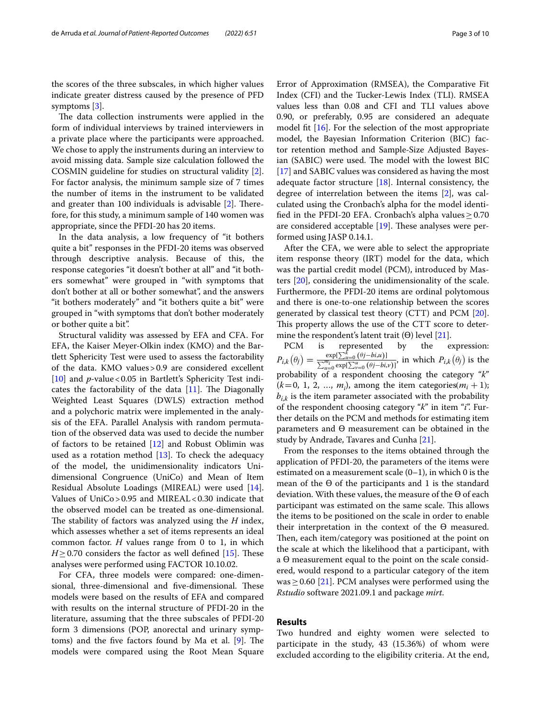the scores of the three subscales, in which higher values indicate greater distress caused by the presence of PFD symptoms [\[3](#page-8-2)].

The data collection instruments were applied in the form of individual interviews by trained interviewers in a private place where the participants were approached. We chose to apply the instruments during an interview to avoid missing data. Sample size calculation followed the COSMIN guideline for studies on structural validity [\[2](#page-8-1)]. For factor analysis, the minimum sample size of 7 times the number of items in the instrument to be validated and greater than  $100$  individuals is advisable  $[2]$  $[2]$ . Therefore, for this study, a minimum sample of 140 women was appropriate, since the PFDI-20 has 20 items.

In the data analysis, a low frequency of "it bothers quite a bit" responses in the PFDI-20 items was observed through descriptive analysis. Because of this, the response categories "it doesn't bother at all" and "it bothers somewhat" were grouped in "with symptoms that don't bother at all or bother somewhat", and the answers "it bothers moderately" and "it bothers quite a bit" were grouped in "with symptoms that don't bother moderately or bother quite a bit".

Structural validity was assessed by EFA and CFA. For EFA, the Kaiser Meyer-Olkin index (KMO) and the Bartlett Sphericity Test were used to assess the factorability of the data. KMO values>0.9 are considered excellent [[10\]](#page-8-8) and *p*-value < 0.05 in Bartlett's Sphericity Test indicates the factorability of the data  $[11]$  $[11]$ . The Diagonally Weighted Least Squares (DWLS) extraction method and a polychoric matrix were implemented in the analysis of the EFA. Parallel Analysis with random permutation of the observed data was used to decide the number of factors to be retained [[12\]](#page-8-10) and Robust Oblimin was used as a rotation method  $[13]$  $[13]$ . To check the adequacy of the model, the unidimensionality indicators Unidimensional Congruence (UniCo) and Mean of Item Residual Absolute Loadings (MIREAL) were used [\[14](#page-8-12)]. Values of UniCo>0.95 and MIREAL<0.30 indicate that the observed model can be treated as one-dimensional. The stability of factors was analyzed using the *H* index, which assesses whether a set of items represents an ideal common factor. *H* values range from 0 to 1, in which  $H \geq 0.70$  considers the factor as well defined [\[15](#page-9-0)]. These analyses were performed using FACTOR 10.10.02.

For CFA, three models were compared: one-dimensional, three-dimensional and five-dimensional. These models were based on the results of EFA and compared with results on the internal structure of PFDI-20 in the literature, assuming that the three subscales of PFDI-20 form 3 dimensions (POP, anorectal and urinary symptoms) and the five factors found by Ma et al.  $[9]$  $[9]$ . The models were compared using the Root Mean Square Error of Approximation (RMSEA), the Comparative Fit Index (CFI) and the Tucker-Lewis Index (TLI). RMSEA values less than 0.08 and CFI and TLI values above 0.90, or preferably, 0.95 are considered an adequate model ft [[16\]](#page-9-1). For the selection of the most appropriate model, the Bayesian Information Criterion (BIC) factor retention method and Sample-Size Adjusted Bayesian (SABIC) were used. The model with the lowest BIC [[17\]](#page-9-2) and SABIC values was considered as having the most adequate factor structure [\[18](#page-9-3)]. Internal consistency, the degree of interrelation between the items [\[2](#page-8-1)], was calculated using the Cronbach's alpha for the model identified in the PFDI-20 EFA. Cronbach's alpha values  $> 0.70$ are considered acceptable  $[19]$  $[19]$ . These analyses were performed using JASP 0.14.1.

After the CFA, we were able to select the appropriate item response theory (IRT) model for the data, which was the partial credit model (PCM), introduced by Masters [\[20](#page-9-5)], considering the unidimensionality of the scale. Furthermore, the PFDI-20 items are ordinal polytomous and there is one-to-one relationship between the scores generated by classical test theory (CTT) and PCM [\[20](#page-9-5)]. This property allows the use of the CTT score to determine the respondent's latent trait  $(\Theta)$  level [[21\]](#page-9-6).

PCM is represented by the expression:  $P_{i,k}(\theta_j) = \frac{\exp\left[\sum_{u=0}^{\kappa} (\theta_j - bi, u)\right]}{\sum_{u=0}^{m_i} \exp\left[\sum_{v=0}^{u} (\theta_j - bi, v)\right]},$  in which  $P_{i,k}(\theta_j)$  is the  $\sum_{u=0}^{k} (\theta j - bi, u)$ ] probability of a respondent choosing the category "*k*"  $(k=0, 1, 2, ..., m_i)$ , among the item categories $(m_i + 1)$ ;  $b_{i,k}$  is the item parameter associated with the probability of the respondent choosing category "*k*" in item "*i*". Further details on the PCM and methods for estimating item parameters and ϴ measurement can be obtained in the study by Andrade, Tavares and Cunha [[21\]](#page-9-6).

From the responses to the items obtained through the application of PFDI-20, the parameters of the items were estimated on a measurement scale  $(0-1)$ , in which 0 is the mean of the  $\Theta$  of the participants and 1 is the standard deviation. With these values, the measure of the ϴ of each participant was estimated on the same scale. This allows the items to be positioned on the scale in order to enable their interpretation in the context of the ϴ measured. Then, each item/category was positioned at the point on the scale at which the likelihood that a participant, with a ϴ measurement equal to the point on the scale considered, would respond to a particular category of the item was > 0.60 [[21\]](#page-9-6). PCM analyses were performed using the *Rstudio* software 2021.09.1 and package *mirt*.

### **Results**

Two hundred and eighty women were selected to participate in the study, 43 (15.36%) of whom were excluded according to the eligibility criteria. At the end,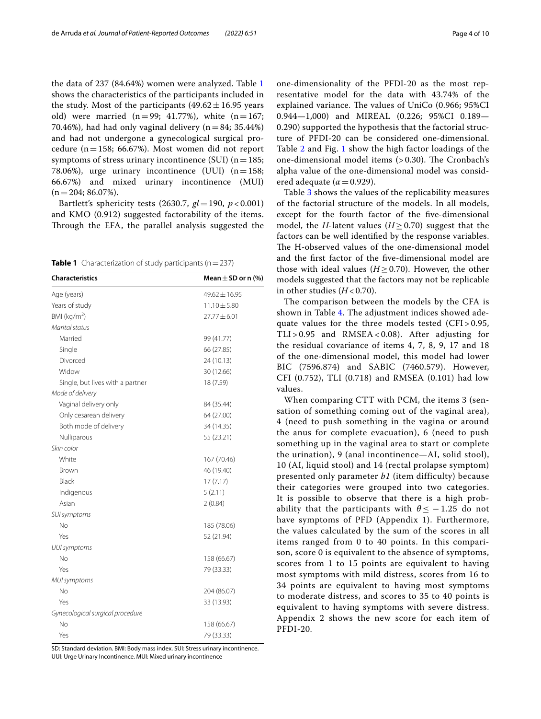the data of 237 (84.64%) women were analyzed. Table [1](#page-3-0) shows the characteristics of the participants included in the study. Most of the participants  $(49.62 \pm 16.95$  years old) were married  $(n=99; 41.77%)$ , white  $(n=167;$ 70.46%), had had only vaginal delivery  $(n=84; 35.44%)$ and had not undergone a gynecological surgical procedure (n=158; 66.67%). Most women did not report symptoms of stress urinary incontinence (SUI)  $(n=185;$ 78.06%), urge urinary incontinence (UUI)  $(n=158;$ 66.67%) and mixed urinary incontinence (MUI)  $(n=204; 86.07\%).$ 

Bartlett's sphericity tests (2630.7, *gl*=190, *p* < 0.001) and KMO (0.912) suggested factorability of the items. Through the EFA, the parallel analysis suggested the

<span id="page-3-0"></span>

| <b>Table 1</b> Characterization of study participants ( $n = 237$ ) |  |
|---------------------------------------------------------------------|--|
|---------------------------------------------------------------------|--|

| <b>Characteristics</b>           | Mean $\pm$ SD or n (%) |
|----------------------------------|------------------------|
| Age (years)                      | $49.62 \pm 16.95$      |
| Years of study                   | $11.10 \pm 5.80$       |
| BMI ( $kg/m2$ )                  | $27.77 \pm 6.01$       |
| Marital status                   |                        |
| Married                          | 99 (41.77)             |
| Single                           | 66 (27.85)             |
| Divorced                         | 24 (10.13)             |
| Widow                            | 30 (12.66)             |
| Single, but lives with a partner | 18 (7.59)              |
| Mode of delivery                 |                        |
| Vaginal delivery only            | 84 (35.44)             |
| Only cesarean delivery           | 64 (27.00)             |
| Both mode of delivery            | 34 (14.35)             |
| Nulliparous                      | 55 (23.21)             |
| Skin color                       |                        |
| White                            | 167 (70.46)            |
| Brown                            | 46 (19.40)             |
| Black                            | 17(7.17)               |
| Indigenous                       | 5(2.11)                |
| Asian                            | 2(0.84)                |
| SUI symptoms                     |                        |
| No                               | 185 (78.06)            |
| Yes                              | 52 (21.94)             |
| <b>UUI</b> symptoms              |                        |
| No                               | 158 (66.67)            |
| Yes                              | 79 (33.33)             |
| MUI symptoms                     |                        |
| No                               | 204 (86.07)            |
| Yes                              | 33 (13.93)             |
| Gynecological surgical procedure |                        |
| No                               | 158 (66.67)            |
| Yes                              | 79 (33.33)             |
|                                  |                        |

SD: Standard deviation. BMI: Body mass index. SUI: Stress urinary incontinence. UUI: Urge Urinary Incontinence. MUI: Mixed urinary incontinence

one-dimensionality of the PFDI-20 as the most representative model for the data with 43.74% of the explained variance. The values of UniCo (0.966; 95%CI 0.944—1,000) and MIREAL (0.226; 95%CI 0.189— 0.290) supported the hypothesis that the factorial structure of PFDI-20 can be considered one-dimensional. Table [2](#page-4-0) and Fig. [1](#page-5-0) show the high factor loadings of the one-dimensional model items  $(> 0.30)$ . The Cronbach's alpha value of the one-dimensional model was considered adequate ( $\alpha$  = 0.929).

Table [3](#page-5-1) shows the values of the replicability measures of the factorial structure of the models. In all models, except for the fourth factor of the fve-dimensional model, the *H*-latent values ( $H \geq 0.70$ ) suggest that the factors can be well identifed by the response variables. The H-observed values of the one-dimensional model and the frst factor of the fve-dimensional model are those with ideal values ( $H \geq 0.70$ ). However, the other models suggested that the factors may not be replicable in other studies  $(H< 0.70)$ .

The comparison between the models by the CFA is shown in Table [4](#page-6-0). The adjustment indices showed adequate values for the three models tested  $(CFI > 0.95$ ,  $TLI > 0.95$  and  $RMSEA < 0.08$ ). After adjusting for the residual covariance of items 4, 7, 8, 9, 17 and 18 of the one-dimensional model, this model had lower BIC (7596.874) and SABIC (7460.579). However, CFI (0.752), TLI (0.718) and RMSEA (0.101) had low values.

When comparing CTT with PCM, the items 3 (sensation of something coming out of the vaginal area), 4 (need to push something in the vagina or around the anus for complete evacuation), 6 (need to push something up in the vaginal area to start or complete the urination), 9 (anal incontinence—AI, solid stool), 10 (AI, liquid stool) and 14 (rectal prolapse symptom) presented only parameter *b1* (item difficulty) because their categories were grouped into two categories. It is possible to observe that there is a high probability that the participants with  $\theta \leq -1.25$  do not have symptoms of PFD (Appendix 1). Furthermore, the values calculated by the sum of the scores in all items ranged from 0 to 40 points. In this comparison, score 0 is equivalent to the absence of symptoms, scores from 1 to 15 points are equivalent to having most symptoms with mild distress, scores from 16 to 34 points are equivalent to having most symptoms to moderate distress, and scores to 35 to 40 points is equivalent to having symptoms with severe distress. Appendix 2 shows the new score for each item of PFDI-20.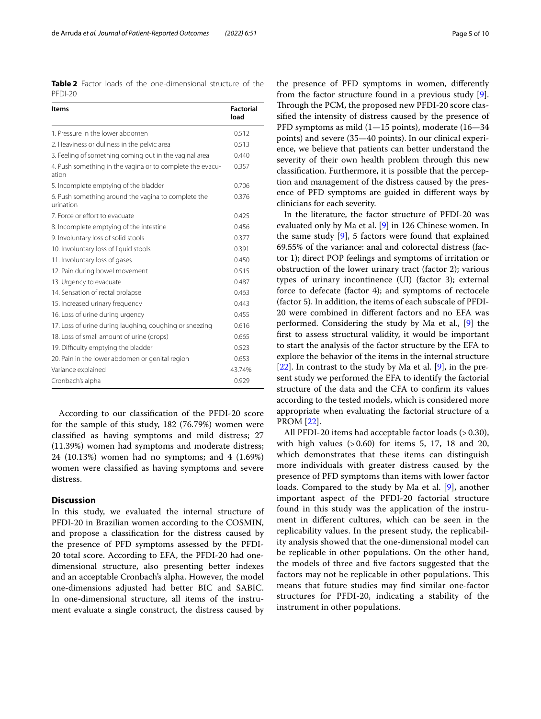<span id="page-4-0"></span>**Table 2** Factor loads of the one-dimensional structure of the PFDI-20

| <b>Items</b>                                                       | <b>Factorial</b><br>load |
|--------------------------------------------------------------------|--------------------------|
| 1. Pressure in the lower abdomen                                   | 0.512                    |
| 2. Heaviness or dullness in the pelvic area                        | 0.513                    |
| 3. Feeling of something coming out in the vaginal area             | 0.440                    |
| 4. Push something in the vagina or to complete the evacu-<br>ation | 0.357                    |
| 5. Incomplete emptying of the bladder                              | 0.706                    |
| 6. Push something around the vagina to complete the<br>urination   | 0.376                    |
| 7. Force or effort to evacuate                                     | 0.425                    |
| 8. Incomplete emptying of the intestine                            | 0.456                    |
| 9. Involuntary loss of solid stools                                | 0.377                    |
| 10. Involuntary loss of liquid stools                              | 0.391                    |
| 11. Involuntary loss of gases                                      | 0.450                    |
| 12. Pain during bowel movement                                     | 0.515                    |
| 13. Urgency to evacuate                                            | 0.487                    |
| 14. Sensation of rectal prolapse                                   | 0.463                    |
| 15. Increased urinary frequency                                    | 0.443                    |
| 16. Loss of urine during urgency                                   | 0.455                    |
| 17. Loss of urine during laughing, coughing or sneezing            | 0.616                    |
| 18. Loss of small amount of urine (drops)                          | 0.665                    |
| 19. Difficulty emptying the bladder                                | 0.523                    |
| 20. Pain in the lower abdomen or genital region                    | 0.653                    |
| Variance explained                                                 | 43.74%                   |
| Cronbach's alpha                                                   | 0.929                    |

According to our classifcation of the PFDI-20 score for the sample of this study, 182 (76.79%) women were classifed as having symptoms and mild distress; 27 (11.39%) women had symptoms and moderate distress; 24 (10.13%) women had no symptoms; and 4 (1.69%) women were classifed as having symptoms and severe distress.

# **Discussion**

In this study, we evaluated the internal structure of PFDI-20 in Brazilian women according to the COSMIN, and propose a classifcation for the distress caused by the presence of PFD symptoms assessed by the PFDI-20 total score. According to EFA, the PFDI-20 had onedimensional structure, also presenting better indexes and an acceptable Cronbach's alpha. However, the model one-dimensions adjusted had better BIC and SABIC. In one-dimensional structure, all items of the instrument evaluate a single construct, the distress caused by

the presence of PFD symptoms in women, diferently from the factor structure found in a previous study [\[9](#page-8-7)]. Through the PCM, the proposed new PFDI-20 score classifed the intensity of distress caused by the presence of PFD symptoms as mild (1—15 points), moderate (16—34 points) and severe (35—40 points). In our clinical experience, we believe that patients can better understand the severity of their own health problem through this new classifcation. Furthermore, it is possible that the perception and management of the distress caused by the presence of PFD symptoms are guided in diferent ways by clinicians for each severity.

In the literature, the factor structure of PFDI-20 was evaluated only by Ma et al. [\[9](#page-8-7)] in 126 Chinese women. In the same study [[9\]](#page-8-7), 5 factors were found that explained 69.55% of the variance: anal and colorectal distress (factor 1); direct POP feelings and symptoms of irritation or obstruction of the lower urinary tract (factor 2); various types of urinary incontinence (UI) (factor 3); external force to defecate (factor 4); and symptoms of rectocele (factor 5). In addition, the items of each subscale of PFDI-20 were combined in diferent factors and no EFA was performed. Considering the study by Ma et al., [\[9](#page-8-7)] the frst to assess structural validity, it would be important to start the analysis of the factor structure by the EFA to explore the behavior of the items in the internal structure [[22\]](#page-9-7). In contrast to the study by Ma et al. [\[9](#page-8-7)], in the present study we performed the EFA to identify the factorial structure of the data and the CFA to confrm its values according to the tested models, which is considered more appropriate when evaluating the factorial structure of a PROM [[22](#page-9-7)].

All PFDI-20 items had acceptable factor loads (> 0.30), with high values  $(> 0.60)$  for items 5, 17, 18 and 20, which demonstrates that these items can distinguish more individuals with greater distress caused by the presence of PFD symptoms than items with lower factor loads. Compared to the study by Ma et al. [\[9](#page-8-7)], another important aspect of the PFDI-20 factorial structure found in this study was the application of the instrument in diferent cultures, which can be seen in the replicability values. In the present study, the replicability analysis showed that the one-dimensional model can be replicable in other populations. On the other hand, the models of three and fve factors suggested that the factors may not be replicable in other populations. This means that future studies may fnd similar one-factor structures for PFDI-20, indicating a stability of the instrument in other populations.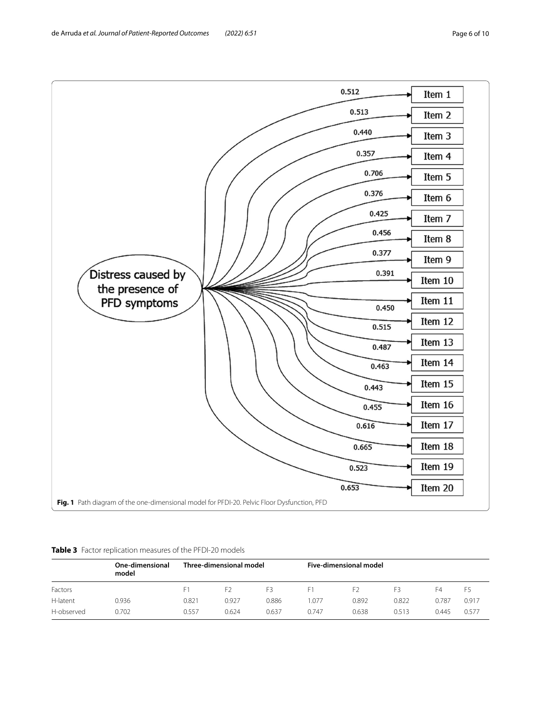

<span id="page-5-1"></span><span id="page-5-0"></span>

|  |  | Table 3 Factor replication measures of the PFDI-20 models |
|--|--|-----------------------------------------------------------|
|  |  |                                                           |

|            | One-dimensional<br>model | Three-dimensional model |                |       | Five-dimensional model |       |       |       |       |
|------------|--------------------------|-------------------------|----------------|-------|------------------------|-------|-------|-------|-------|
| Factors    |                          |                         | F <sub>2</sub> | F3    | F1                     | F)    | F3    | F4    | F5    |
| H-latent   | 0.936                    | 0.821                   | 0.927          | 0.886 | 1.077                  | 0.892 | 0.822 | 0.787 | 0.917 |
| H-observed | 0.702                    | 0.557                   | 0.624          | 0.637 | 0.747                  | 0.638 | 0.513 | 0.445 | 0.577 |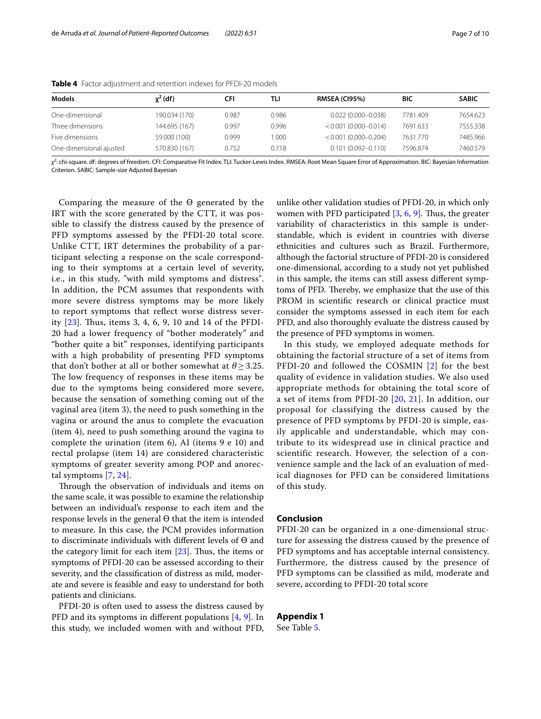| <b>Models</b>           | $x^2$ (df)    | CFI   | TLI   | <b>RMSEA (CI95%)</b>      | BIC      | <b>SABIC</b> |
|-------------------------|---------------|-------|-------|---------------------------|----------|--------------|
| One-dimensional         | 190.034 (170) | 0.987 | 0.986 | $0.022(0.000 - 0.038)$    | 7781.409 | 7654.623     |
| Three dimensions        | 144.695 (167) | 0.997 | 0.996 | $< 0.001 (0.000 - 0.014)$ | 7691.633 | 7555.338     |
| Five dimensions         | 59.000 (100)  | 0.999 | .000  | $< 0.001 (0.000 - 0.204)$ | 7631.770 | 7485.966     |
| One-dimensional ajusted | 570.830 (167) | 0.752 | 0.718 | $0.101(0.092 - 0.110)$    | 7596.874 | 7460.579     |

<span id="page-6-0"></span>**Table 4** Factor adjustment and retention indexes for PFDI-20 models

*χ2* : chi-square. df: degrees of freedom. CFI: Comparative Fit Index. TLI: Tucker-Lewis Index. RMSEA: Root Mean Square Error of Approximation. BIC: Bayesian Information Criterion. SABIC: Sample-size Adjusted Bayesian

Comparing the measure of the ϴ generated by the IRT with the score generated by the CTT, it was possible to classify the distress caused by the presence of PFD symptoms assessed by the PFDI-20 total score. Unlike CTT, IRT determines the probability of a participant selecting a response on the scale corresponding to their symptoms at a certain level of severity, i.e., in this study, "with mild symptoms and distress". In addition, the PCM assumes that respondents with more severe distress symptoms may be more likely to report symptoms that refect worse distress severity  $[23]$  $[23]$ . Thus, items 3, 4, 6, 9, 10 and 14 of the PFDI-20 had a lower frequency of "bother moderately" and "bother quite a bit" responses, identifying participants with a high probability of presenting PFD symptoms that don't bother at all or bother somewhat at  $\theta \geq 3.25$ . The low frequency of responses in these items may be due to the symptoms being considered more severe, because the sensation of something coming out of the vaginal area (item 3), the need to push something in the vagina or around the anus to complete the evacuation (item 4), need to push something around the vagina to complete the urination (item 6), AI (items 9 e 10) and rectal prolapse (item 14) are considered characteristic symptoms of greater severity among POP and anorectal symptoms [[7](#page-8-5), [24](#page-9-9)].

Through the observation of individuals and items on the same scale, it was possible to examine the relationship between an individual's response to each item and the response levels in the general ϴ that the item is intended to measure. In this case, the PCM provides information to discriminate individuals with diferent levels of ϴ and the category limit for each item  $[23]$  $[23]$  $[23]$ . Thus, the items or symptoms of PFDI-20 can be assessed according to their severity, and the classifcation of distress as mild, moderate and severe is feasible and easy to understand for both patients and clinicians.

PFDI-20 is often used to assess the distress caused by PFD and its symptoms in diferent populations [\[4](#page-8-3), [9](#page-8-7)]. In this study, we included women with and without PFD, unlike other validation studies of PFDI-20, in which only women with PFD participated  $[3, 6, 9]$  $[3, 6, 9]$  $[3, 6, 9]$  $[3, 6, 9]$  $[3, 6, 9]$  $[3, 6, 9]$ . Thus, the greater variability of characteristics in this sample is understandable, which is evident in countries with diverse ethnicities and cultures such as Brazil. Furthermore, although the factorial structure of PFDI-20 is considered one-dimensional, according to a study not yet published in this sample, the items can still assess diferent symptoms of PFD. Thereby, we emphasize that the use of this PROM in scientifc research or clinical practice must consider the symptoms assessed in each item for each PFD, and also thoroughly evaluate the distress caused by the presence of PFD symptoms in women.

In this study, we employed adequate methods for obtaining the factorial structure of a set of items from PFDI-20 and followed the COSMIN [\[2\]](#page-8-1) for the best quality of evidence in validation studies. We also used appropriate methods for obtaining the total score of a set of items from PFDI-20 [[20](#page-9-5), [21](#page-9-6)]. In addition, our proposal for classifying the distress caused by the presence of PFD symptoms by PFDI-20 is simple, easily applicable and understandable, which may contribute to its widespread use in clinical practice and scientific research. However, the selection of a convenience sample and the lack of an evaluation of medical diagnoses for PFD can be considered limitations of this study.

## **Conclusion**

PFDI-20 can be organized in a one-dimensional structure for assessing the distress caused by the presence of PFD symptoms and has acceptable internal consistency. Furthermore, the distress caused by the presence of PFD symptoms can be classifed as mild, moderate and severe, according to PFDI-20 total score

**Appendix 1**

See Table [5.](#page-7-0)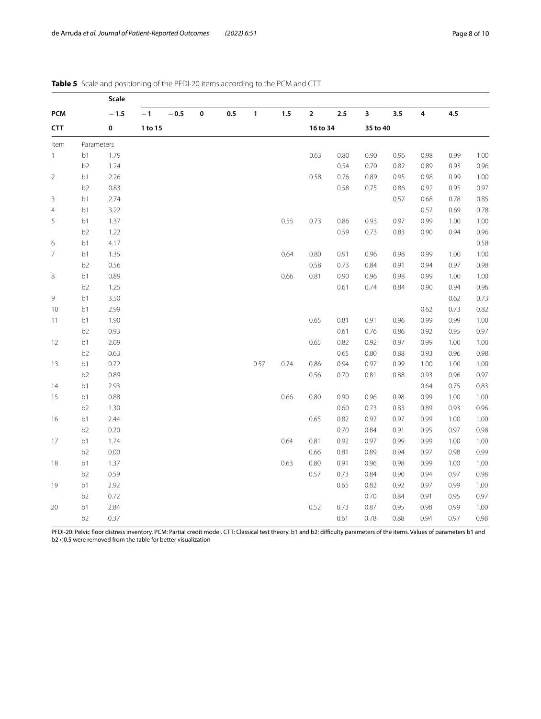|                |                | Scale  |         |          |           |     |              |      |              |      |          |      |           |      |      |
|----------------|----------------|--------|---------|----------|-----------|-----|--------------|------|--------------|------|----------|------|-----------|------|------|
| <b>PCM</b>     |                | $-1.5$ | $-1$    | $-\,0.5$ | $\pmb{0}$ | 0.5 | $\mathbf{1}$ | 1.5  | $\mathbf{2}$ | 2.5  | 3        | 3.5  | $\pmb{4}$ | 4.5  |      |
| <b>CTT</b>     |                | 0      | 1 to 15 |          |           |     |              |      | 16 to 34     |      | 35 to 40 |      |           |      |      |
| Item           | Parameters     |        |         |          |           |     |              |      |              |      |          |      |           |      |      |
| $\mathbf{1}$   | b1             | 1.79   |         |          |           |     |              |      | 0.63         | 0.80 | 0.90     | 0.96 | 0.98      | 0.99 | 1.00 |
|                | b <sub>2</sub> | 1.24   |         |          |           |     |              |      |              | 0.54 | 0.70     | 0.82 | 0.89      | 0.93 | 0.96 |
| $\overline{2}$ | b1             | 2.26   |         |          |           |     |              |      | 0.58         | 0.76 | 0.89     | 0.95 | 0.98      | 0.99 | 1.00 |
|                | b <sub>2</sub> | 0.83   |         |          |           |     |              |      |              | 0.58 | 0.75     | 0.86 | 0.92      | 0.95 | 0.97 |
| 3              | b1             | 2.74   |         |          |           |     |              |      |              |      |          | 0.57 | 0.68      | 0.78 | 0.85 |
| $\overline{4}$ | b1             | 3.22   |         |          |           |     |              |      |              |      |          |      | 0.57      | 0.69 | 0.78 |
| 5              | b1             | 1.37   |         |          |           |     |              | 0.55 | 0.73         | 0.86 | 0.93     | 0.97 | 0.99      | 1.00 | 1.00 |
|                | b <sub>2</sub> | 1.22   |         |          |           |     |              |      |              | 0.59 | 0.73     | 0.83 | 0.90      | 0.94 | 0.96 |
| 6              | b1             | 4.17   |         |          |           |     |              |      |              |      |          |      |           |      | 0.58 |
| $\overline{7}$ | b1             | 1.35   |         |          |           |     |              | 0.64 | 0.80         | 0.91 | 0.96     | 0.98 | 0.99      | 1.00 | 1.00 |
|                | b <sub>2</sub> | 0.56   |         |          |           |     |              |      | 0.58         | 0.73 | 0.84     | 0.91 | 0.94      | 0.97 | 0.98 |
| 8              | b1             | 0.89   |         |          |           |     |              | 0.66 | 0.81         | 0.90 | 0.96     | 0.98 | 0.99      | 1.00 | 1.00 |
|                | b <sub>2</sub> | 1.25   |         |          |           |     |              |      |              | 0.61 | 0.74     | 0.84 | 0.90      | 0.94 | 0.96 |
| 9              | b1             | 3.50   |         |          |           |     |              |      |              |      |          |      |           | 0.62 | 0.73 |
| 10             | b1             | 2.99   |         |          |           |     |              |      |              |      |          |      | 0.62      | 0.73 | 0.82 |
| 11             | b1             | 1.90   |         |          |           |     |              |      | 0.65         | 0.81 | 0.91     | 0.96 | 0.99      | 0.99 | 1.00 |
|                | b <sub>2</sub> | 0.93   |         |          |           |     |              |      |              | 0.61 | 0.76     | 0.86 | 0.92      | 0.95 | 0.97 |
| 12             | b1             | 2.09   |         |          |           |     |              |      | 0.65         | 0.82 | 0.92     | 0.97 | 0.99      | 1.00 | 1.00 |
|                | b <sub>2</sub> | 0.63   |         |          |           |     |              |      |              | 0.65 | 0.80     | 0.88 | 0.93      | 0.96 | 0.98 |
| 13             | b1             | 0.72   |         |          |           |     | 0.57         | 0.74 | 0.86         | 0.94 | 0.97     | 0.99 | 1.00      | 1.00 | 1.00 |
|                | b <sub>2</sub> | 0.89   |         |          |           |     |              |      | 0.56         | 0.70 | 0.81     | 0.88 | 0.93      | 0.96 | 0.97 |
| 14             | b1             | 2.93   |         |          |           |     |              |      |              |      |          |      | 0.64      | 0.75 | 0.83 |
| 15             | b1             | 0.88   |         |          |           |     |              | 0.66 | 0.80         | 0.90 | 0.96     | 0.98 | 0.99      | 1.00 | 1.00 |
|                | b <sub>2</sub> | 1.30   |         |          |           |     |              |      |              | 0.60 | 0.73     | 0.83 | 0.89      | 0.93 | 0.96 |
| 16             | b1             | 2.44   |         |          |           |     |              |      | 0.65         | 0.82 | 0.92     | 0.97 | 0.99      | 1.00 | 1.00 |
|                | b <sub>2</sub> | 0.20   |         |          |           |     |              |      |              | 0.70 | 0.84     | 0.91 | 0.95      | 0.97 | 0.98 |
| 17             | b1             | 1.74   |         |          |           |     |              | 0.64 | 0.81         | 0.92 | 0.97     | 0.99 | 0.99      | 1.00 | 1.00 |
|                | b <sub>2</sub> | 0.00   |         |          |           |     |              |      | 0.66         | 0.81 | 0.89     | 0.94 | 0.97      | 0.98 | 0.99 |
| 18             | b1             | 1.37   |         |          |           |     |              | 0.63 | 0.80         | 0.91 | 0.96     | 0.98 | 0.99      | 1.00 | 1.00 |
|                | b <sub>2</sub> | 0.59   |         |          |           |     |              |      | 0.57         | 0.73 | 0.84     | 0.90 | 0.94      | 0.97 | 0.98 |
| 19             | b1             | 2.92   |         |          |           |     |              |      |              | 0.65 | 0.82     | 0.92 | 0.97      | 0.99 | 1.00 |
|                | b <sub>2</sub> | 0.72   |         |          |           |     |              |      |              |      | 0.70     | 0.84 | 0.91      | 0.95 | 0.97 |
| 20             | b1             | 2.84   |         |          |           |     |              |      | 0.52         | 0.73 | 0.87     | 0.95 | 0.98      | 0.99 | 1.00 |
|                | b <sub>2</sub> | 0.37   |         |          |           |     |              |      |              | 0.61 | 0.78     | 0.88 | 0.94      | 0.97 | 0.98 |

# <span id="page-7-0"></span>**Table 5** Scale and positioning of the PFDI-20 items according to the PCM and CTT

PFDI-20: Pelvic floor distress inventory. PCM: Partial credit model. CTT: Classical test theory. b1 and b2: difficulty parameters of the items. Values of parameters b1 and b2<0.5 were removed from the table for better visualization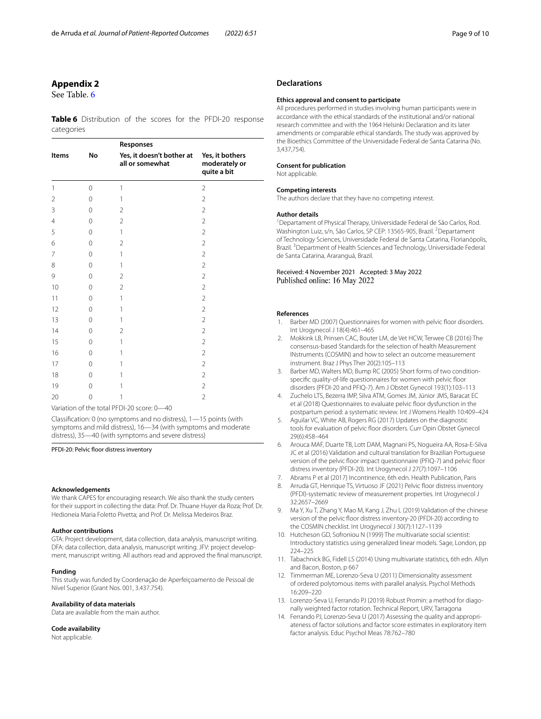# **Appendix 2**

See Table. [6](#page-8-13)

<span id="page-8-13"></span>**Table 6** Distribution of the scores for the PFDI-20 response categories

|                |    | Responses                                    |                                                 |  |  |  |  |  |  |  |
|----------------|----|----------------------------------------------|-------------------------------------------------|--|--|--|--|--|--|--|
| <b>Items</b>   | No | Yes, it doesn't bother at<br>all or somewhat | Yes, it bothers<br>moderately or<br>quite a bit |  |  |  |  |  |  |  |
| 1              | 0  | 1                                            | $\overline{2}$                                  |  |  |  |  |  |  |  |
| $\overline{2}$ | 0  | 1                                            | $\overline{2}$                                  |  |  |  |  |  |  |  |
| 3              | 0  | $\overline{2}$                               | $\overline{2}$                                  |  |  |  |  |  |  |  |
| $\overline{4}$ | 0  | $\overline{2}$                               | $\overline{2}$                                  |  |  |  |  |  |  |  |
| 5              | 0  | 1                                            | $\overline{2}$                                  |  |  |  |  |  |  |  |
| 6              | 0  | $\overline{2}$                               | $\overline{2}$                                  |  |  |  |  |  |  |  |
| $\overline{7}$ | 0  | 1                                            | $\overline{2}$                                  |  |  |  |  |  |  |  |
| 8              | 0  | 1                                            | $\overline{2}$                                  |  |  |  |  |  |  |  |
| 9              | 0  | $\overline{2}$                               | $\overline{2}$                                  |  |  |  |  |  |  |  |
| 10             | 0  | $\overline{2}$                               | $\overline{2}$                                  |  |  |  |  |  |  |  |
| 11             | 0  | 1                                            | $\overline{2}$                                  |  |  |  |  |  |  |  |
| 12             | 0  | 1                                            | $\overline{2}$                                  |  |  |  |  |  |  |  |
| 13             | 0  | 1                                            | $\overline{2}$                                  |  |  |  |  |  |  |  |
| 14             | 0  | $\overline{2}$                               | $\overline{2}$                                  |  |  |  |  |  |  |  |
| 15             | 0  | 1                                            | $\overline{2}$                                  |  |  |  |  |  |  |  |
| 16             | 0  | 1                                            | $\overline{2}$                                  |  |  |  |  |  |  |  |
| 17             | 0  | 1                                            | $\overline{2}$                                  |  |  |  |  |  |  |  |
| 18             | 0  | 1                                            | $\overline{2}$                                  |  |  |  |  |  |  |  |
| 19             | 0  | 1                                            | $\overline{2}$                                  |  |  |  |  |  |  |  |
| 20             | 0  | 1                                            | $\overline{2}$                                  |  |  |  |  |  |  |  |

Variation of the total PFDI-20 score: 0—40

Classifcation: 0 (no symptoms and no distress), 1—15 points (with symptoms and mild distress), 16—34 (with symptoms and moderate distress), 35—40 (with symptoms and severe distress)

PFDI-20: Pelvic floor distress inventory

#### **Acknowledgements**

We thank CAPES for encouraging research. We also thank the study centers for their support in collecting the data: Prof. Dr. Thuane Huyer da Roza; Prof. Dr. Hedioneia Maria Foletto Pivetta; and Prof. Dr. Melissa Medeiros Braz.

## **Author contributions**

GTA: Project development, data collection, data analysis, manuscript writing. DFA: data collection, data analysis, manuscript writing. JFV: project development, manuscript writing. All authors read and approved the fnal manuscript.

#### **Funding**

This study was funded by Coordenação de Aperfeiçoamento de Pessoal de Nível Superior (Grant Nos. 001, 3.437.754).

#### **Availability of data materials**

Data are available from the main author.

## **Code availability**

Not applicable.

## **Declarations**

#### **Ethics approval and consent to participate**

All procedures performed in studies involving human participants were in accordance with the ethical standards of the institutional and/or national research committee and with the 1964 Helsinki Declaration and its later amendments or comparable ethical standards. The study was approved by the Bioethics Committee of the Universidade Federal de Santa Catarina (No. 3,437,754).

#### **Consent for publication**

Not applicable.

#### **Competing interests**

The authors declare that they have no competing interest.

#### **Author details**

<sup>1</sup> Departament of Physical Therapy, Universidade Federal de São Carlos, Rod. Washington Luiz, s/n, São Carlos, SP CEP: 13565-905, Brazil. <sup>2</sup> Departament of Technology Sciences, Universidade Federal de Santa Catarina, Florianópolis, Brazil.<sup>3</sup> Department of Health Sciences and Technology, Universidade Federal de Santa Catarina, Araranguá, Brazil.

#### Received: 4 November 2021 Accepted: 3 May 2022 Published online: 16 May 2022

#### **References**

- <span id="page-8-0"></span>1. Barber MD (2007) Questionnaires for women with pelvic foor disorders. Int Urogynecol J 18(4):461–465
- <span id="page-8-1"></span>2. Mokkink LB, Prinsen CAC, Bouter LM, de Vet HCW, Terwee CB (2016) The consensus-based Standards for the selection of health Measurement INstruments (COSMIN) and how to select an outcome measurement instrument. Braz J Phys Ther 20(2):105–113
- <span id="page-8-2"></span>3. Barber MD, Walters MD, Bump RC (2005) Short forms of two conditionspecific quality-of-life questionnaires for women with pelvic floor disorders (PFDI-20 and PFIQ-7). Am J Obstet Gynecol 193(1):103–113
- <span id="page-8-3"></span>4. Zuchelo LTS, Bezerra IMP, Silva ATM, Gomes JM, Júnior JMS, Baracat EC et al (2018) Questionnaires to evaluate pelvic foor dysfunction in the postpartum period: a systematic review. Int J Womens Health 10:409–424
- 5. Aguilar VC, White AB, Rogers RG (2017) Updates on the diagnostic tools for evaluation of pelvic floor disorders. Curr Opin Obstet Gynecol 29(6):458–464
- <span id="page-8-4"></span>6. Arouca MAF, Duarte TB, Lott DAM, Magnani PS, Nogueira AA, Rosa-E-Silva JC et al (2016) Validation and cultural translation for Brazilian Portuguese version of the pelvic floor impact questionnaire (PFIQ-7) and pelvic floor distress inventory (PFDI-20). Int Urogynecol J 27(7):1097–1106
- <span id="page-8-5"></span>7. Abrams P et al (2017) Incontinence, 6th edn. Health Publication, Paris
- <span id="page-8-6"></span>8. Arruda GT, Henrique TS, Virtuoso JF (2021) Pelvic floor distress inventory (PFDI)-systematic review of measurement properties. Int Urogynecol J 32:2657–2669
- <span id="page-8-7"></span>9. Ma Y, Xu T, Zhang Y, Mao M, Kang J, Zhu L (2019) Validation of the chinese version of the pelvic floor distress inventory-20 (PFDI-20) according to the COSMIN checklist. Int Urogynecol J 30(7):1127–1139
- <span id="page-8-8"></span>10. Hutcheson GD, Sofroniou N (1999) The multivariate social scientist: Introductory statistics using generalized linear models. Sage, London, pp 224–225
- <span id="page-8-9"></span>11. Tabachnick BG, Fidell LS (2014) Using multivariate statistics, 6th edn. Allyn and Bacon, Boston, p 667
- <span id="page-8-10"></span>12. Timmerman ME, Lorenzo-Seva U (2011) Dimensionality assessment of ordered polytomous items with parallel analysis. Psychol Methods 16:209–220
- <span id="page-8-11"></span>13. Lorenzo-Seva U, Ferrando PJ (2019) Robust Promin: a method for diagonally weighted factor rotation*.* Technical Report, URV, Tarragona
- <span id="page-8-12"></span>14. Ferrando PJ, Lorenzo-Seva U (2017) Assessing the quality and appropriateness of factor solutions and factor score estimates in exploratory item factor analysis. Educ Psychol Meas 78:762–780